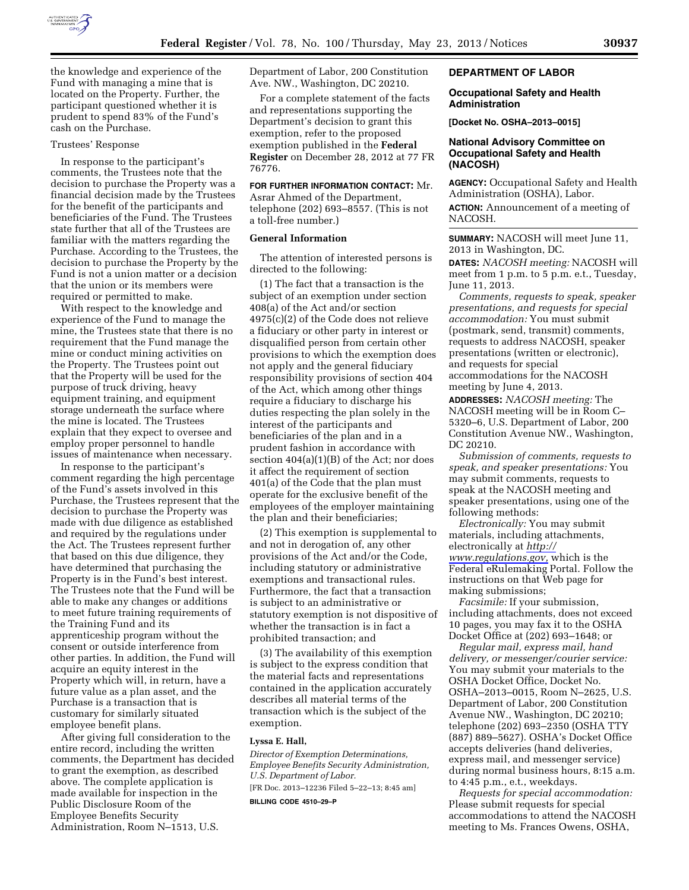

the knowledge and experience of the Fund with managing a mine that is located on the Property. Further, the participant questioned whether it is prudent to spend 83% of the Fund's cash on the Purchase.

#### Trustees' Response

In response to the participant's comments, the Trustees note that the decision to purchase the Property was a financial decision made by the Trustees for the benefit of the participants and beneficiaries of the Fund. The Trustees state further that all of the Trustees are familiar with the matters regarding the Purchase. According to the Trustees, the decision to purchase the Property by the Fund is not a union matter or a decision that the union or its members were required or permitted to make.

With respect to the knowledge and experience of the Fund to manage the mine, the Trustees state that there is no requirement that the Fund manage the mine or conduct mining activities on the Property. The Trustees point out that the Property will be used for the purpose of truck driving, heavy equipment training, and equipment storage underneath the surface where the mine is located. The Trustees explain that they expect to oversee and employ proper personnel to handle issues of maintenance when necessary.

In response to the participant's comment regarding the high percentage of the Fund's assets involved in this Purchase, the Trustees represent that the decision to purchase the Property was made with due diligence as established and required by the regulations under the Act. The Trustees represent further that based on this due diligence, they have determined that purchasing the Property is in the Fund's best interest. The Trustees note that the Fund will be able to make any changes or additions to meet future training requirements of the Training Fund and its apprenticeship program without the consent or outside interference from other parties. In addition, the Fund will acquire an equity interest in the Property which will, in return, have a future value as a plan asset, and the Purchase is a transaction that is customary for similarly situated employee benefit plans.

After giving full consideration to the entire record, including the written comments, the Department has decided to grant the exemption, as described above. The complete application is made available for inspection in the Public Disclosure Room of the Employee Benefits Security Administration, Room N–1513, U.S.

Department of Labor, 200 Constitution Ave. NW., Washington, DC 20210.

For a complete statement of the facts and representations supporting the Department's decision to grant this exemption, refer to the proposed exemption published in the **Federal Register** on December 28, 2012 at 77 FR 76776.

**FOR FURTHER INFORMATION CONTACT:** Mr. Asrar Ahmed of the Department, telephone (202) 693–8557. (This is not a toll-free number.)

## **General Information**

The attention of interested persons is directed to the following:

(1) The fact that a transaction is the subject of an exemption under section 408(a) of the Act and/or section 4975(c)(2) of the Code does not relieve a fiduciary or other party in interest or disqualified person from certain other provisions to which the exemption does not apply and the general fiduciary responsibility provisions of section 404 of the Act, which among other things require a fiduciary to discharge his duties respecting the plan solely in the interest of the participants and beneficiaries of the plan and in a prudent fashion in accordance with section 404(a)(1)(B) of the Act; nor does it affect the requirement of section 401(a) of the Code that the plan must operate for the exclusive benefit of the employees of the employer maintaining the plan and their beneficiaries;

(2) This exemption is supplemental to and not in derogation of, any other provisions of the Act and/or the Code, including statutory or administrative exemptions and transactional rules. Furthermore, the fact that a transaction is subject to an administrative or statutory exemption is not dispositive of whether the transaction is in fact a prohibited transaction; and

(3) The availability of this exemption is subject to the express condition that the material facts and representations contained in the application accurately describes all material terms of the transaction which is the subject of the exemption.

### **Lyssa E. Hall,**

*Director of Exemption Determinations, Employee Benefits Security Administration, U.S. Department of Labor.*  [FR Doc. 2013–12236 Filed 5–22–13; 8:45 am]

**BILLING CODE 4510–29–P** 

# **DEPARTMENT OF LABOR**

#### **Occupational Safety and Health Administration**

**[Docket No. OSHA–2013–0015]** 

# **National Advisory Committee on Occupational Safety and Health (NACOSH)**

**AGENCY:** Occupational Safety and Health Administration (OSHA), Labor.

**ACTION:** Announcement of a meeting of NACOSH.

**SUMMARY:** NACOSH will meet June 11, 2013 in Washington, DC.

**DATES:** *NACOSH meeting:* NACOSH will meet from 1 p.m. to 5 p.m. e.t., Tuesday, June 11, 2013.

*Comments, requests to speak, speaker presentations, and requests for special accommodation:* You must submit (postmark, send, transmit) comments, requests to address NACOSH, speaker presentations (written or electronic), and requests for special accommodations for the NACOSH meeting by June 4, 2013.

**ADDRESSES:** *NACOSH meeting:* The NACOSH meeting will be in Room C– 5320–6, U.S. Department of Labor, 200 Constitution Avenue NW., Washington, DC 20210.

*Submission of comments, requests to speak, and speaker presentations:* You may submit comments, requests to speak at the NACOSH meeting and speaker presentations, using one of the following methods:

*Electronically:* You may submit materials, including attachments, electronically at *[http://](http://www.regulations.gov) [www.regulations.gov,](http://www.regulations.gov)* which is the Federal eRulemaking Portal. Follow the instructions on that Web page for making submissions;

*Facsimile:* If your submission, including attachments, does not exceed 10 pages, you may fax it to the OSHA Docket Office at (202) 693–1648; or

*Regular mail, express mail, hand delivery, or messenger/courier service:*  You may submit your materials to the OSHA Docket Office, Docket No. OSHA–2013–0015, Room N–2625, U.S. Department of Labor, 200 Constitution Avenue NW., Washington, DC 20210; telephone (202) 693–2350 (OSHA TTY (887) 889–5627). OSHA's Docket Office accepts deliveries (hand deliveries, express mail, and messenger service) during normal business hours, 8:15 a.m. to 4:45 p.m., e.t., weekdays.

*Requests for special accommodation:*  Please submit requests for special accommodations to attend the NACOSH meeting to Ms. Frances Owens, OSHA,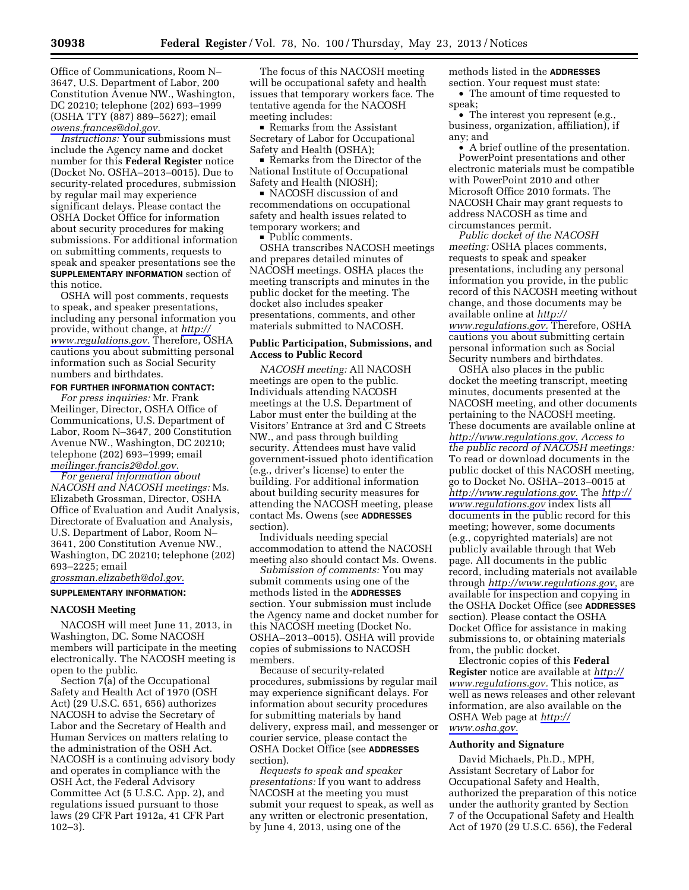Office of Communications, Room N– 3647, U.S. Department of Labor, 200 Constitution Avenue NW., Washington, DC 20210; telephone (202) 693–1999 (OSHA TTY (887) 889–5627); email *[owens.frances@dol.gov.](mailto:owens.frances@dol.gov)* 

*Instructions:* Your submissions must include the Agency name and docket number for this **Federal Register** notice (Docket No. OSHA–2013–0015). Due to security-related procedures, submission by regular mail may experience significant delays. Please contact the OSHA Docket Office for information about security procedures for making submissions. For additional information on submitting comments, requests to speak and speaker presentations see the **SUPPLEMENTARY INFORMATION** section of this notice.

OSHA will post comments, requests to speak, and speaker presentations, including any personal information you provide, without change, at *[http://](http://www.regulations.gov) [www.regulations.gov.](http://www.regulations.gov)* Therefore, OSHA cautions you about submitting personal information such as Social Security numbers and birthdates.

# **FOR FURTHER INFORMATION CONTACT:**

*For press inquiries:* Mr. Frank Meilinger, Director, OSHA Office of Communications, U.S. Department of Labor, Room N–3647, 200 Constitution Avenue NW., Washington, DC 20210; telephone (202) 693–1999; email *[meilinger.francis2@dol.gov.](mailto:meilinger.francis2@dol.gov)* 

*For general information about NACOSH and NACOSH meetings:* Ms. Elizabeth Grossman, Director, OSHA Office of Evaluation and Audit Analysis, Directorate of Evaluation and Analysis, U.S. Department of Labor, Room N– 3641, 200 Constitution Avenue NW., Washington, DC 20210; telephone (202) 693–2225; email

*[grossman.elizabeth@dol.gov.](mailto:grossman.elizabeth@dol.gov)* 

### **SUPPLEMENTARY INFORMATION:**

# **NACOSH Meeting**

NACOSH will meet June 11, 2013, in Washington, DC. Some NACOSH members will participate in the meeting electronically. The NACOSH meeting is open to the public.

Section 7(a) of the Occupational Safety and Health Act of 1970 (OSH Act) (29 U.S.C. 651, 656) authorizes NACOSH to advise the Secretary of Labor and the Secretary of Health and Human Services on matters relating to the administration of the OSH Act. NACOSH is a continuing advisory body and operates in compliance with the OSH Act, the Federal Advisory Committee Act (5 U.S.C. App. 2), and regulations issued pursuant to those laws (29 CFR Part 1912a, 41 CFR Part 102–3).

The focus of this NACOSH meeting will be occupational safety and health issues that temporary workers face. The tentative agenda for the NACOSH meeting includes:

Remarks from the Assistant Secretary of Labor for Occupational Safety and Health (OSHA);

■ Remarks from the Director of the National Institute of Occupational Safety and Health (NIOSH);

■ NACOSH discussion of and recommendations on occupational safety and health issues related to temporary workers; and

■ Public comments.<br>OSHA transcribes NACOSH meetings and prepares detailed minutes of NACOSH meetings. OSHA places the meeting transcripts and minutes in the public docket for the meeting. The docket also includes speaker presentations, comments, and other materials submitted to NACOSH.

### **Public Participation, Submissions, and Access to Public Record**

*NACOSH meeting:* All NACOSH meetings are open to the public. Individuals attending NACOSH meetings at the U.S. Department of Labor must enter the building at the Visitors' Entrance at 3rd and C Streets NW., and pass through building security. Attendees must have valid government-issued photo identification (e.g., driver's license) to enter the building. For additional information about building security measures for attending the NACOSH meeting, please contact Ms. Owens (see **ADDRESSES** section).

Individuals needing special accommodation to attend the NACOSH meeting also should contact Ms. Owens.

*Submission of comments:* You may submit comments using one of the methods listed in the **ADDRESSES** section. Your submission must include the Agency name and docket number for this NACOSH meeting (Docket No. OSHA–2013–0015). OSHA will provide copies of submissions to NACOSH members.

Because of security-related procedures, submissions by regular mail may experience significant delays. For information about security procedures for submitting materials by hand delivery, express mail, and messenger or courier service, please contact the OSHA Docket Office (see **ADDRESSES** section).

*Requests to speak and speaker presentations:* If you want to address NACOSH at the meeting you must submit your request to speak, as well as any written or electronic presentation, by June 4, 2013, using one of the

methods listed in the **ADDRESSES** section. Your request must state:

• The amount of time requested to speak;

• The interest you represent (e.g., business, organization, affiliation), if any; and

• A brief outline of the presentation. PowerPoint presentations and other electronic materials must be compatible with PowerPoint 2010 and other Microsoft Office 2010 formats. The NACOSH Chair may grant requests to address NACOSH as time and circumstances permit.

*Public docket of the NACOSH meeting:* OSHA places comments, requests to speak and speaker presentations, including any personal information you provide, in the public record of this NACOSH meeting without change, and those documents may be available online at *[http://](http://www.regulations.gov)  [www.regulations.gov.](http://www.regulations.gov)* Therefore, OSHA cautions you about submitting certain personal information such as Social Security numbers and birthdates.

OSHA also places in the public docket the meeting transcript, meeting minutes, documents presented at the NACOSH meeting, and other documents pertaining to the NACOSH meeting. These documents are available online at *[http://www.regulations.gov.](http://www.regulations.gov) Access to the public record of NACOSH meetings:*  To read or download documents in the public docket of this NACOSH meeting, go to Docket No. OSHA–2013–0015 at *[http://www.regulations.gov.](http://www.regulations.gov)* The *[http://](http://www.regulations.gov) [www.regulations.gov](http://www.regulations.gov)* index lists all documents in the public record for this meeting; however, some documents (e.g., copyrighted materials) are not publicly available through that Web page. All documents in the public record, including materials not available through *[http://www.regulations.gov,](http://www.regulations.gov)* are available for inspection and copying in the OSHA Docket Office (see **ADDRESSES** section). Please contact the OSHA Docket Office for assistance in making submissions to, or obtaining materials from, the public docket.

Electronic copies of this **Federal Register** notice are available at *[http://](http://www.regulations.gov) [www.regulations.gov.](http://www.regulations.gov)* This notice, as well as news releases and other relevant information, are also available on the OSHA Web page at *[http://](http://www.osha.gov)  [www.osha.gov.](http://www.osha.gov)* 

### **Authority and Signature**

David Michaels, Ph.D., MPH, Assistant Secretary of Labor for Occupational Safety and Health, authorized the preparation of this notice under the authority granted by Section 7 of the Occupational Safety and Health Act of 1970 (29 U.S.C. 656), the Federal